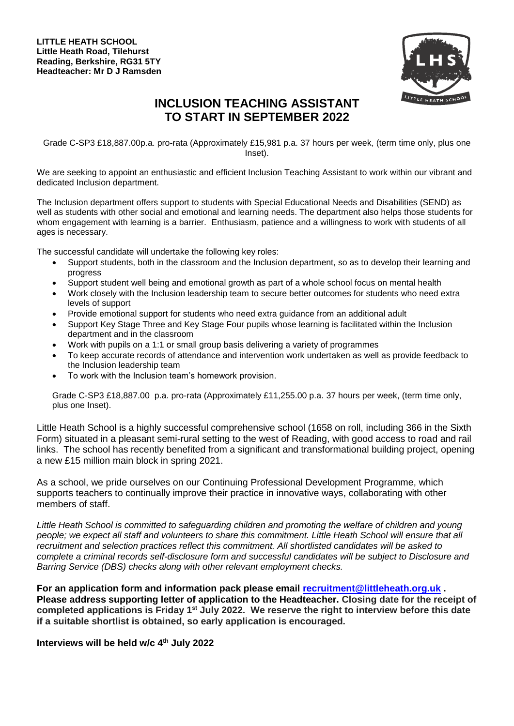

## **INCLUSION TEACHING ASSISTANT TO START IN SEPTEMBER 2022**

Grade C-SP3 £18,887.00p.a. pro-rata (Approximately £15,981 p.a. 37 hours per week, (term time only, plus one Inset).

We are seeking to appoint an enthusiastic and efficient Inclusion Teaching Assistant to work within our vibrant and dedicated Inclusion department.

The Inclusion department offers support to students with Special Educational Needs and Disabilities (SEND) as well as students with other social and emotional and learning needs. The department also helps those students for whom engagement with learning is a barrier. Enthusiasm, patience and a willingness to work with students of all ages is necessary.

The successful candidate will undertake the following key roles:

- Support students, both in the classroom and the Inclusion department, so as to develop their learning and progress
- Support student well being and emotional growth as part of a whole school focus on mental health
- Work closely with the Inclusion leadership team to secure better outcomes for students who need extra levels of support
- Provide emotional support for students who need extra guidance from an additional adult
- Support Key Stage Three and Key Stage Four pupils whose learning is facilitated within the Inclusion department and in the classroom
- Work with pupils on a 1:1 or small group basis delivering a variety of programmes
- To keep accurate records of attendance and intervention work undertaken as well as provide feedback to the Inclusion leadership team
- To work with the Inclusion team's homework provision.

Grade C-SP3 £18,887.00 p.a. pro-rata (Approximately £11,255.00 p.a. 37 hours per week, (term time only, plus one Inset).

Little Heath School is a highly successful comprehensive school (1658 on roll, including 366 in the Sixth Form) situated in a pleasant semi-rural setting to the west of Reading, with good access to road and rail links. The school has recently benefited from a significant and transformational building project, opening a new £15 million main block in spring 2021.

As a school, we pride ourselves on our Continuing Professional Development Programme, which supports teachers to continually improve their practice in innovative ways, collaborating with other members of staff.

*Little Heath School is committed to safeguarding children and promoting the welfare of children and young people; we expect all staff and volunteers to share this commitment. Little Heath School will ensure that all recruitment and selection practices reflect this commitment. All shortlisted candidates will be asked to complete a criminal records self-disclosure form and successful candidates will be subject to Disclosure and Barring Service (DBS) checks along with other relevant employment checks.* 

**For an application form and information pack please email [recruitment@littleheath.org.uk](mailto:recruitment@littleheath.org.uk) . Please address supporting letter of application to the Headteacher. Closing date for the receipt of completed applications is Friday 1st July 2022. We reserve the right to interview before this date if a suitable shortlist is obtained, so early application is encouraged.**

## **Interviews will be held w/c 4 th July 2022**